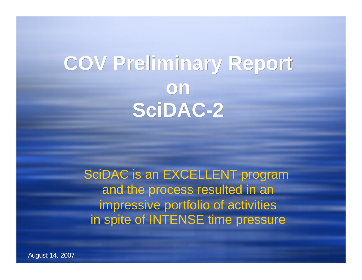# **COV Preliminary Report COV Preliminary Report onon SciDAC-2 SciDAC-2**

SciDAC is an EXCELLENT program and the process resulted in an impressive portfolio of activities in spite of INTENSE time pressure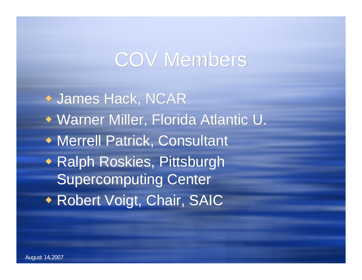## COV Members

 James Hack, NCAR James Hack, NCAR Warner Miller, Florida Atlantic U. Warner Miller, Florida Atlantic U. Merrell Patrick, Consultant Merrell Patrick, Consultant Ralph Roskies, Pittsburgh Ralph Roskies, Supercomputing Center Supercomputing Center Robert Voigt, Chair, SAIC Robert Voigt, Chair, SAIC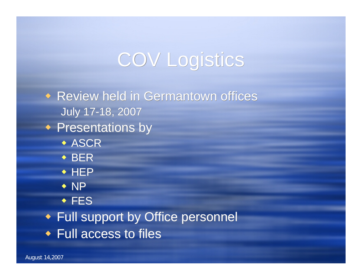# COV Logistics

◆ Review held in Germantown offices July 17-18, 2007 July 17-18, 2007 Presentations by Presentations by  $\bullet$  ASCR  $\triangle$  BER ◆ HEP  $\bullet$  NP FES FES Full support by Office personnel Full support by Office personnel Full access to files Full access to files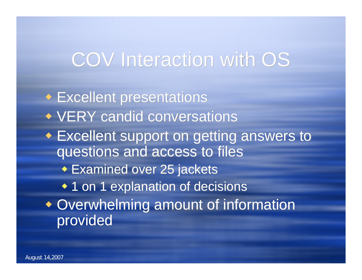# COV Interaction with OS

 Excellent presentations Excellent presentations VERY candid conversations VERY candid conversations Excellent support on getting answers to Excellent support on getting answers to questions and access to files questions and access to files Examined over 25 jackets Examined over 25 jackets 1 on 1 explanation of decisions 1 on 1 explanation of decisions Overwhelming amount of information Overwhelming amount of information provided provided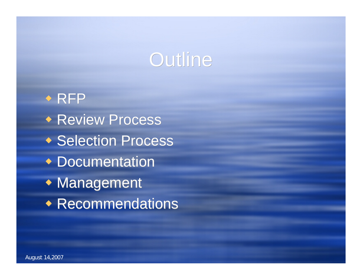# Outline

 $\rightarrow$  RFP Review Process Review Process ◆ Selection Process Documentation Documentation Management Management Recommendations Recommendations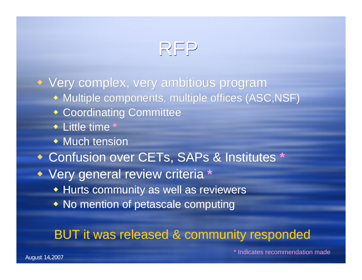## RFP

 Very complex, very ambitious program Very complex, very ambitious program Multiple components, multiple offices (ASC,NSF) Multiple components, multiple offices (ASC,NSF) Coordinating Committee Coordinating Committee Little time **\*** Little time **\*** Much tension Much tension Confusion over CETs, SAPs & Institutes **\*** Confusion over CETs, SAPs & Institutes **\*** Very general review criteria **\*** Very general review criteria **\*** Hurts community as well as reviewers Hurts community as well as reviewers No mention of petascale computing No mention of petascale computing

### BUT it was released & community responded BUT it was released & community responded

\* Indicates recommendation made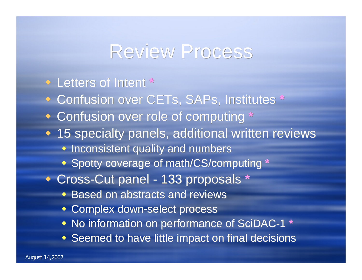### Review Process

### ◆ Letters of Intent \* Confusion over CETs, SAPs, Institutes **\*** Confusion over CETs, SAPs, Institutes **\*** Confusion over role of computing **\*** Confusion over role of computing **\*** 15 specialty panels, additional written reviews 15 specialty panels, additional written reviews Inconsistent quality and numbers Inconsistent quality and numbers Spotty coverage of math/CS/computing **\*** Spotty coverage of math/CS/computing **\*** ◆ Cross-Cut panel - 133 proposals \* Based on abstracts and reviews Based on abstracts and reviews Complex down-select process Complex down-select process No information on performance of SciDAC-1 **\*** No information on performance of SciDAC-1 **\*** Seemed to have little impact on final decisions Seemed to have little impact on final decisions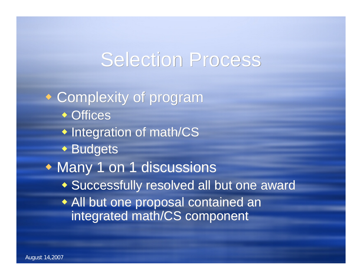## **Selection Process**

 Complexity of program Complexity of program ◆ Offices Integration of math/CS Integration of math/CS Budgets Budgets Many 1 on 1 discussions Many 1 on 1 discussions Successfully resolved all but one award Successfully resolved all but one award All but one proposal contained an All but one proposal contained an integrated math/CS component integrated math/CS component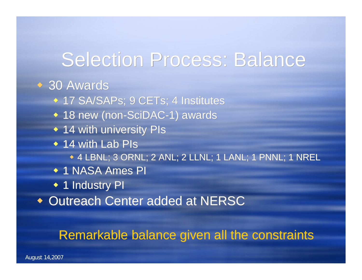## Selection Process: Balance

#### 30 Awards 30 Awards

- ◆ 17 SA/SAPs; 9 CETs; 4 Institutes
- 18 new (non-SciDAC-1) awards 18 new (non-SciDAC-1) awards
- 14 with university PIs 14 with university PIs
- ◆ 14 with Lab PIs
	- 4 LBNL; 3 ORNL; 2 ANL; 2 LLNL; 1 LANL; 1 PNNL; 1 NREL 4 LBNL; 3 ORNL; ANL; 2 LLNL; 1 LANL; 1 PNNL; 1 NREL
- ◆ 1 NASA Ames PI
- ◆ 1 Industry PI
- Outreach Center added at NERSC Outreach Center added at NERSC

### Remarkable balance given all the constraints Remarkable balance given all the constraints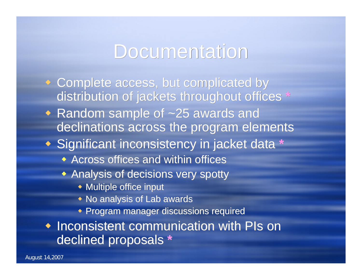### **Documentation**

- Complete access, but complicated by Complete access, but complicated by distribution of jackets throughout offices **\*** distribution of jackets throughout offices **\***
- Random sample of ~25 awards and Random sample of ~25 awards and declinations across the program elements declinations across the program elements
- Significant inconsistency in jacket data **\*** Significant inconsistency in jacket data **\***
	- Across offices and within offices Across offices and within offices
	- Analysis of decisions very spotty Analysis of decisions very spotty
		- Multiple office input Multiple office input
		- No analysis of Lab awards No analysis of Lab awards
		- Program manager discussions required Program manager discussions required

 Inconsistent communication with PIs on Inconsistent communication with PIs on declined proposals **\*** declined proposals **\***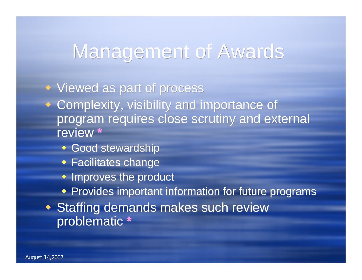## Management of Awards

 Viewed as part of process Viewed as part of process Complexity, visibility and importance of Complexity, visibility and importance of program requires close scrutiny and external program requires close scrutiny and external review **\*** review **\***

- Good stewardship Good stewardship
- Facilitates change Facilitates change
- Improves the product Improves the product
- Provides important information for future programs Provides important information for future programs
- Staffing demands makes such review Staffing demands makes such review problematic **\*** problematic **\***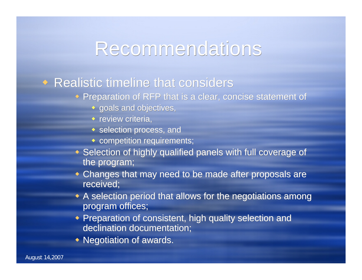### **Recommendations**

#### Realistic timeline that considers Realistic timeline that considers

- Preparation of RFP that is a clear, concise statement of Preparation of RFP that is a clear, concise statement of
	- goals and objectives, goals and objectives,
	- review criteria,
	- $\bullet$  selection process, and
	- competition requirements; competition requirements;
- Selection of highly qualified panels with full coverage of Selection of highly qualified panels with full coverage of the program; the program;
- Changes that may need to be made after proposals are Changes that may need to be made after proposals are received; received;
- A selection period that allows for the negotiations among A selection period that allows for the negotiations among program offices; program offices;
- Preparation of consistent, high quality selection and Preparation of consistent, high quality selection and declination documentation;
- Negotiation of awards. Negotiation of awards.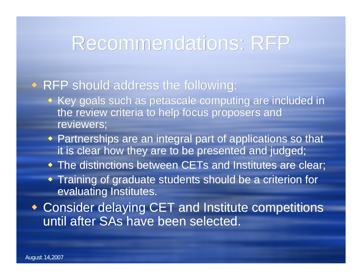### Recommendations: RFP

#### RFP should address the following: RFP should address the following:

- Key goals such as petascale computing are included in Key goals such as petascale computing are included in the review criteria to help focus proposers and<br>reviewers; reviewers;
- Partnerships are an integral part of applications so that Partnerships are an integral part of applications so that it is clear how they are to be presented and judged;
- The distinctions between CETs and Institutes are clear; The distinctions between CETs and Institutes are clear;
- Training of graduate students should be a criterion for Training of graduate students should be a criterion for evaluating Institutes. evaluating Institutes.
- Consider delaying CET and Institute competitions Consider delaying CET and Institute competitions until after SAs have been selected. until after have been selected.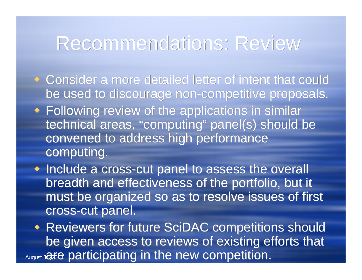### Recommendations: Review

- Consider a more detailed letter of intent that could Consider a more detailed letter of intent that could be used to discourage non-competitive proposals. be used to discourage non-competitive proposals.
- Following review of the applications in similar Following review of the applications in similar technical areas, "computing" panel(s) should be convened to address high performance convened to address high performance computing. computing.
- Include a cross-cut panel to assess the overall breadth and effectiveness of the portfolio, but it breadth and effectiveness of the portfolio, but it must be organized so as to resolve issues of first must be organized so as to resolve issues of first cross-cut panel. cross-cut panel.

August 1**a5e participating in the new competition.**  Reviewers for future SciDAC competitions should Reviewers for future SciDAC should be given access to reviews of existing efforts that be given access to reviews of existing efforts that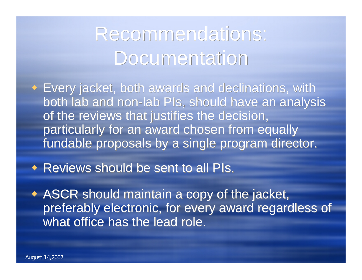# Recommendations: Recommendations: Documentation Documentation

 Every jacket, both awards and declinations, with Every jacket, both awards and declinations, with both lab and non-lab PIs, should have an analysis both lab and non-lab PIs, should have an analysis of the reviews that justifies the decision, of the reviews that justifies the decision, particularly for an award chosen from equally for an award chosen from equally fundable proposals by a single program director. fundable proposals by a single program director.

Reviews should be sent to all PIs. Reviews should be sent to all PIs.

 ASCR should maintain a copy of the jacket, ASCR should maintain a copy of the jacket, preferably electronic, for every award regardless of preferably electronic, for every award regardless of what office has the lead role. what office has the lead role.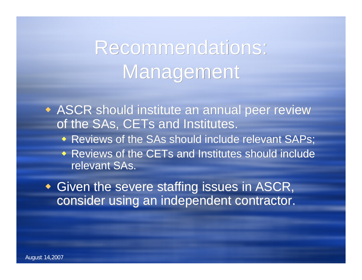# Recommendations: Recommendations: Management Management

 ASCR should institute an annual peer review ASCR should institute an annual peer review of the SAs, CETs and Institutes. of the SAs, CETs and Institutes.

- Reviews of the SAs should include relevant SAPs; Reviews of the SAs should include relevant SAPs;
- Reviews of the CETs and Institutes should include Reviews of the CETs and Institutes should include relevant SAs. relevant SAs.

 Given the severe staffing issues in ASCR, Given the severe staffing issues in ASCR, consider using an independent contractor. consider using an independent contractor.